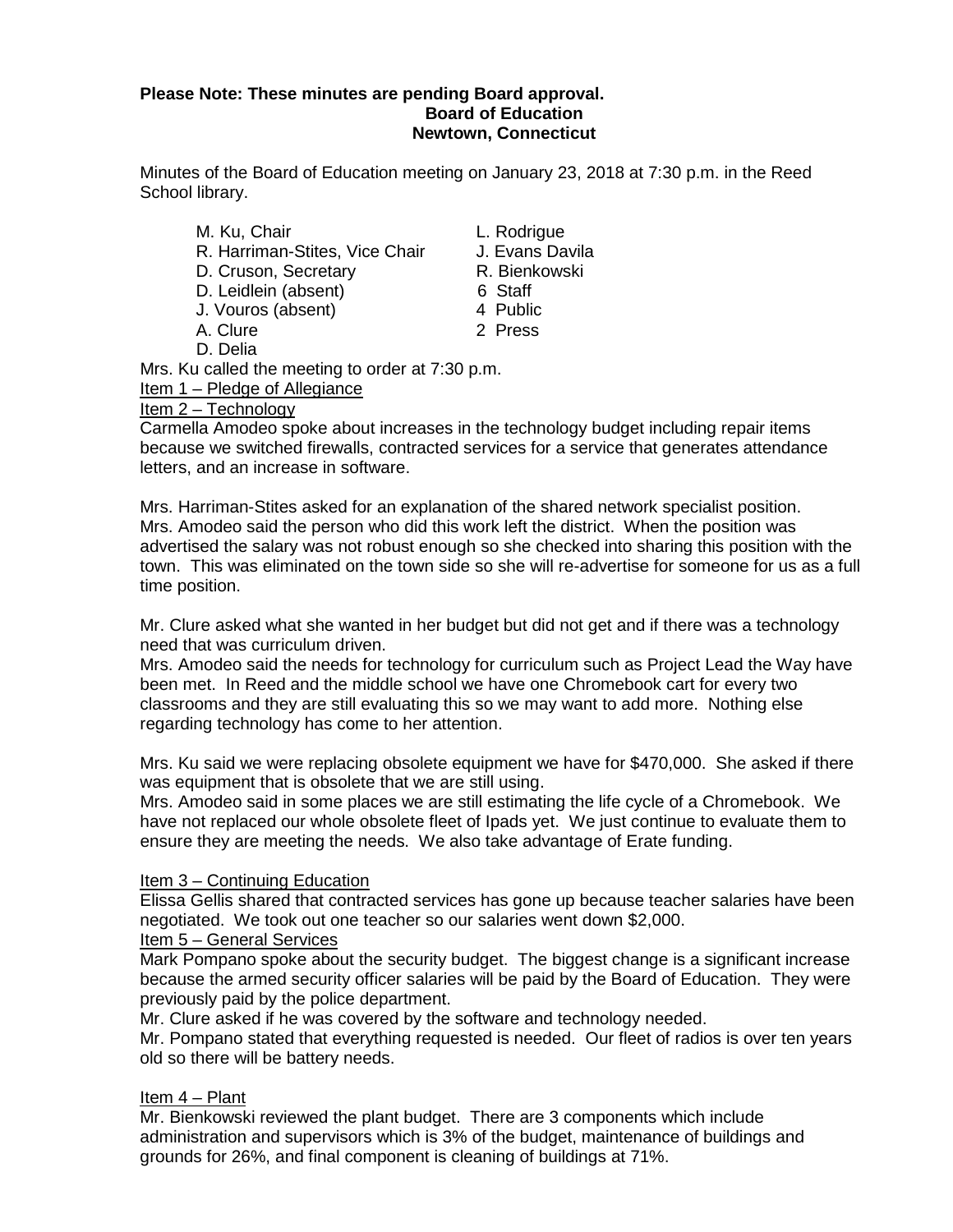## **Please Note: These minutes are pending Board approval. Board of Education Newtown, Connecticut**

Minutes of the Board of Education meeting on January 23, 2018 at 7:30 p.m. in the Reed School library.

| M. Ku, Chair                   | L. Rodric |
|--------------------------------|-----------|
| R. Harriman-Stites, Vice Chair | J. Evans  |
| D. Cruson, Secretary           | R. Bienk  |
| D. Leidlein (absent)           | 6 Staff   |
| J. Vouros (absent)             | 4 Public  |
| A. Clure                       | 2 Press   |

D. Delia

L. Rodrigue J. Evans Davila

- R. Bienkowski
- 6 Staff
- 4 Public
- 

Mrs. Ku called the meeting to order at 7:30 p.m.

Item 1 – Pledge of Allegiance

# Item 2 – Technology

Carmella Amodeo spoke about increases in the technology budget including repair items because we switched firewalls, contracted services for a service that generates attendance letters, and an increase in software.

Mrs. Harriman-Stites asked for an explanation of the shared network specialist position. Mrs. Amodeo said the person who did this work left the district. When the position was advertised the salary was not robust enough so she checked into sharing this position with the town. This was eliminated on the town side so she will re-advertise for someone for us as a full time position.

Mr. Clure asked what she wanted in her budget but did not get and if there was a technology need that was curriculum driven.

Mrs. Amodeo said the needs for technology for curriculum such as Project Lead the Way have been met. In Reed and the middle school we have one Chromebook cart for every two classrooms and they are still evaluating this so we may want to add more. Nothing else regarding technology has come to her attention.

Mrs. Ku said we were replacing obsolete equipment we have for \$470,000. She asked if there was equipment that is obsolete that we are still using.

Mrs. Amodeo said in some places we are still estimating the life cycle of a Chromebook. We have not replaced our whole obsolete fleet of Ipads yet. We just continue to evaluate them to ensure they are meeting the needs. We also take advantage of Erate funding.

# Item 3 – Continuing Education

Elissa Gellis shared that contracted services has gone up because teacher salaries have been negotiated. We took out one teacher so our salaries went down \$2,000.

# Item 5 – General Services

Mark Pompano spoke about the security budget. The biggest change is a significant increase because the armed security officer salaries will be paid by the Board of Education. They were previously paid by the police department.

Mr. Clure asked if he was covered by the software and technology needed.

Mr. Pompano stated that everything requested is needed. Our fleet of radios is over ten years old so there will be battery needs.

# Item 4 – Plant

Mr. Bienkowski reviewed the plant budget. There are 3 components which include administration and supervisors which is 3% of the budget, maintenance of buildings and grounds for 26%, and final component is cleaning of buildings at 71%.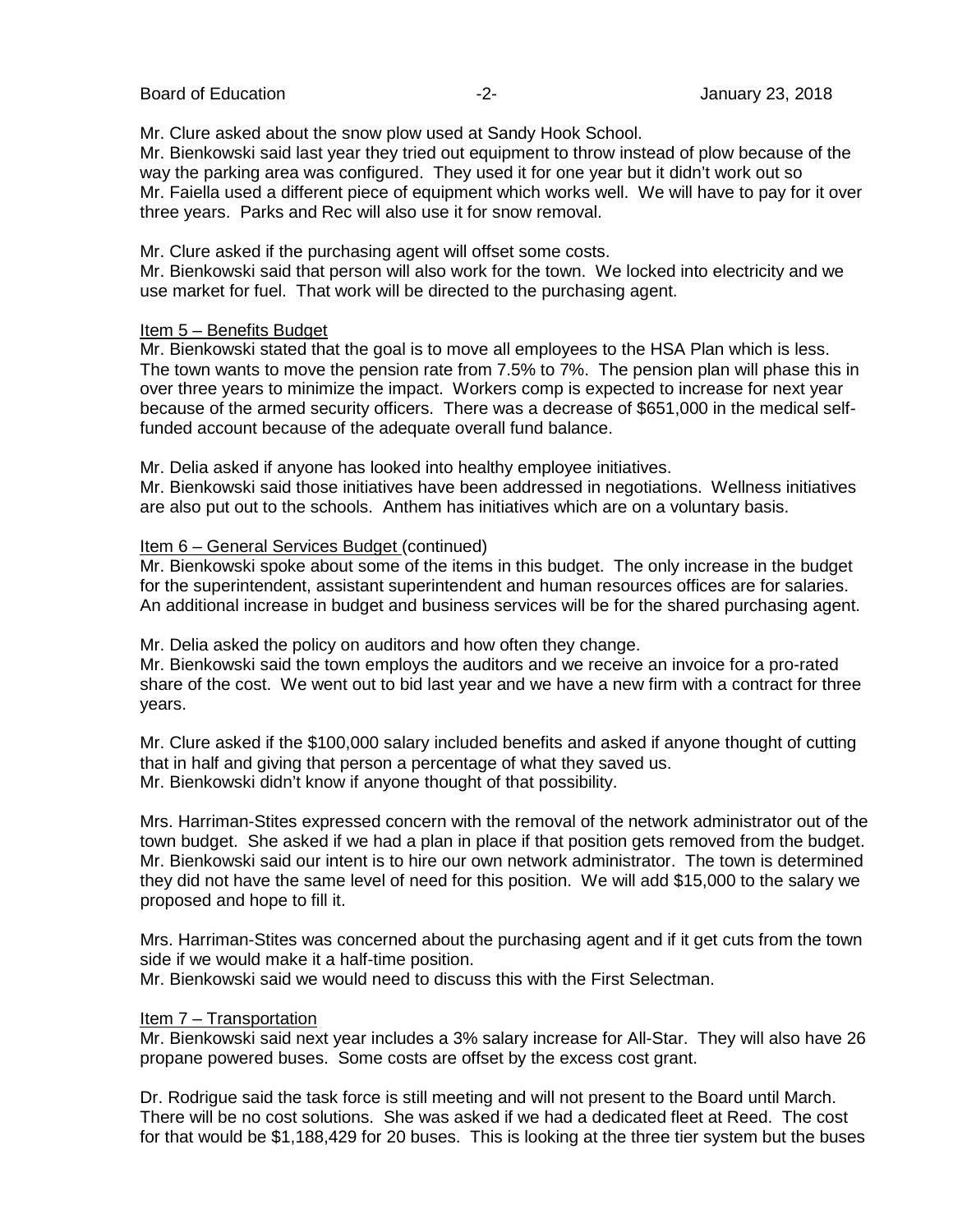Board of Education **Contract Contract Contract Contract Contract Contract Contract Contract Contract Contract Contract Contract Contract Contract Contract Contract Contract Contract Contract Contract Contract Contract Cont** 

Mr. Clure asked about the snow plow used at Sandy Hook School.

Mr. Bienkowski said last year they tried out equipment to throw instead of plow because of the way the parking area was configured. They used it for one year but it didn't work out so Mr. Faiella used a different piece of equipment which works well. We will have to pay for it over three years. Parks and Rec will also use it for snow removal.

Mr. Clure asked if the purchasing agent will offset some costs.

Mr. Bienkowski said that person will also work for the town. We locked into electricity and we use market for fuel. That work will be directed to the purchasing agent.

#### Item 5 – Benefits Budget

Mr. Bienkowski stated that the goal is to move all employees to the HSA Plan which is less. The town wants to move the pension rate from 7.5% to 7%. The pension plan will phase this in over three years to minimize the impact. Workers comp is expected to increase for next year because of the armed security officers. There was a decrease of \$651,000 in the medical selffunded account because of the adequate overall fund balance.

Mr. Delia asked if anyone has looked into healthy employee initiatives.

Mr. Bienkowski said those initiatives have been addressed in negotiations. Wellness initiatives are also put out to the schools. Anthem has initiatives which are on a voluntary basis.

#### Item 6 – General Services Budget (continued)

Mr. Bienkowski spoke about some of the items in this budget. The only increase in the budget for the superintendent, assistant superintendent and human resources offices are for salaries. An additional increase in budget and business services will be for the shared purchasing agent.

Mr. Delia asked the policy on auditors and how often they change.

Mr. Bienkowski said the town employs the auditors and we receive an invoice for a pro-rated share of the cost. We went out to bid last year and we have a new firm with a contract for three years.

Mr. Clure asked if the \$100,000 salary included benefits and asked if anyone thought of cutting that in half and giving that person a percentage of what they saved us. Mr. Bienkowski didn't know if anyone thought of that possibility.

Mrs. Harriman-Stites expressed concern with the removal of the network administrator out of the town budget. She asked if we had a plan in place if that position gets removed from the budget. Mr. Bienkowski said our intent is to hire our own network administrator. The town is determined they did not have the same level of need for this position. We will add \$15,000 to the salary we proposed and hope to fill it.

Mrs. Harriman-Stites was concerned about the purchasing agent and if it get cuts from the town side if we would make it a half-time position.

Mr. Bienkowski said we would need to discuss this with the First Selectman.

#### Item 7 – Transportation

Mr. Bienkowski said next year includes a 3% salary increase for All-Star. They will also have 26 propane powered buses. Some costs are offset by the excess cost grant.

Dr. Rodrigue said the task force is still meeting and will not present to the Board until March. There will be no cost solutions. She was asked if we had a dedicated fleet at Reed. The cost for that would be \$1,188,429 for 20 buses. This is looking at the three tier system but the buses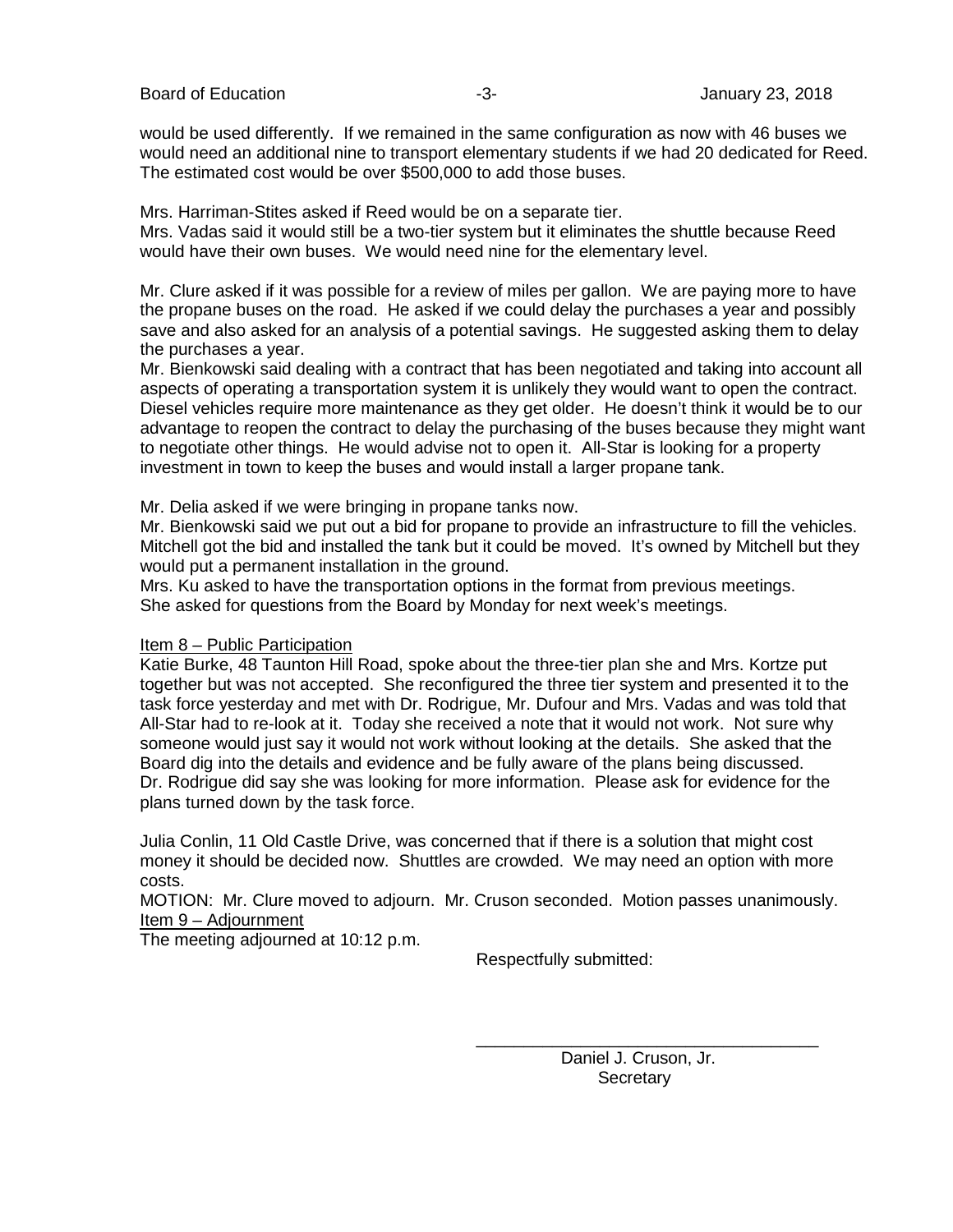would be used differently. If we remained in the same configuration as now with 46 buses we would need an additional nine to transport elementary students if we had 20 dedicated for Reed. The estimated cost would be over \$500,000 to add those buses.

Mrs. Harriman-Stites asked if Reed would be on a separate tier. Mrs. Vadas said it would still be a two-tier system but it eliminates the shuttle because Reed

would have their own buses. We would need nine for the elementary level.

Mr. Clure asked if it was possible for a review of miles per gallon. We are paying more to have the propane buses on the road. He asked if we could delay the purchases a year and possibly save and also asked for an analysis of a potential savings. He suggested asking them to delay the purchases a year.

Mr. Bienkowski said dealing with a contract that has been negotiated and taking into account all aspects of operating a transportation system it is unlikely they would want to open the contract. Diesel vehicles require more maintenance as they get older. He doesn't think it would be to our advantage to reopen the contract to delay the purchasing of the buses because they might want to negotiate other things. He would advise not to open it. All-Star is looking for a property investment in town to keep the buses and would install a larger propane tank.

Mr. Delia asked if we were bringing in propane tanks now.

Mr. Bienkowski said we put out a bid for propane to provide an infrastructure to fill the vehicles. Mitchell got the bid and installed the tank but it could be moved. It's owned by Mitchell but they would put a permanent installation in the ground.

Mrs. Ku asked to have the transportation options in the format from previous meetings. She asked for questions from the Board by Monday for next week's meetings.

#### Item 8 – Public Participation

Katie Burke, 48 Taunton Hill Road, spoke about the three-tier plan she and Mrs. Kortze put together but was not accepted. She reconfigured the three tier system and presented it to the task force yesterday and met with Dr. Rodrigue, Mr. Dufour and Mrs. Vadas and was told that All-Star had to re-look at it. Today she received a note that it would not work. Not sure why someone would just say it would not work without looking at the details. She asked that the Board dig into the details and evidence and be fully aware of the plans being discussed. Dr. Rodrigue did say she was looking for more information. Please ask for evidence for the plans turned down by the task force.

Julia Conlin, 11 Old Castle Drive, was concerned that if there is a solution that might cost money it should be decided now. Shuttles are crowded. We may need an option with more costs.

MOTION: Mr. Clure moved to adjourn. Mr. Cruson seconded. Motion passes unanimously. Item 9 – Adjournment

The meeting adjourned at 10:12 p.m.

Respectfully submitted:

\_\_\_\_\_\_\_\_\_\_\_\_\_\_\_\_\_\_\_\_\_\_\_\_\_\_\_\_\_\_\_\_\_\_\_\_ Daniel J. Cruson, Jr. **Secretary**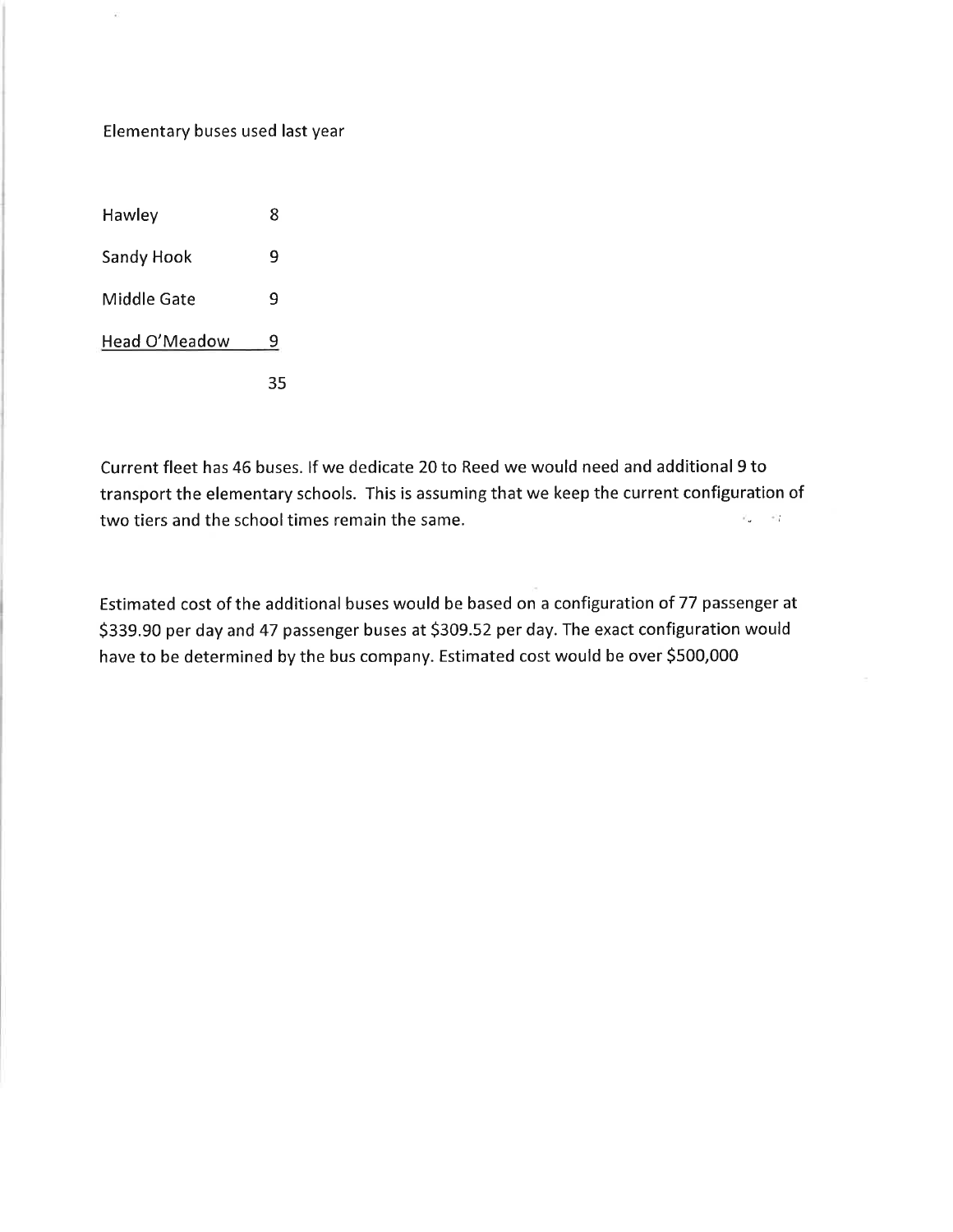# Elementary buses used last year

 $\frac{1}{2}$ 

| Hawley        | 8 |
|---------------|---|
| Sandy Hook    | 9 |
| Middle Gate   | ٩ |
| Head O'Meadow | 9 |
|               |   |

Current fleet has 46 buses. If we dedicate 20 to Reed we would need and additional 9 to transport the elementary schools. This is assuming that we keep the current configuration of  $\mathbb{E}(-\rightarrow)$ two tiers and the school times remain the same.

Estimated cost of the additional buses would be based on a configuration of 77 passenger at \$339.90 per day and 47 passenger buses at \$309.52 per day. The exact configuration would have to be determined by the bus company. Estimated cost would be over \$500,000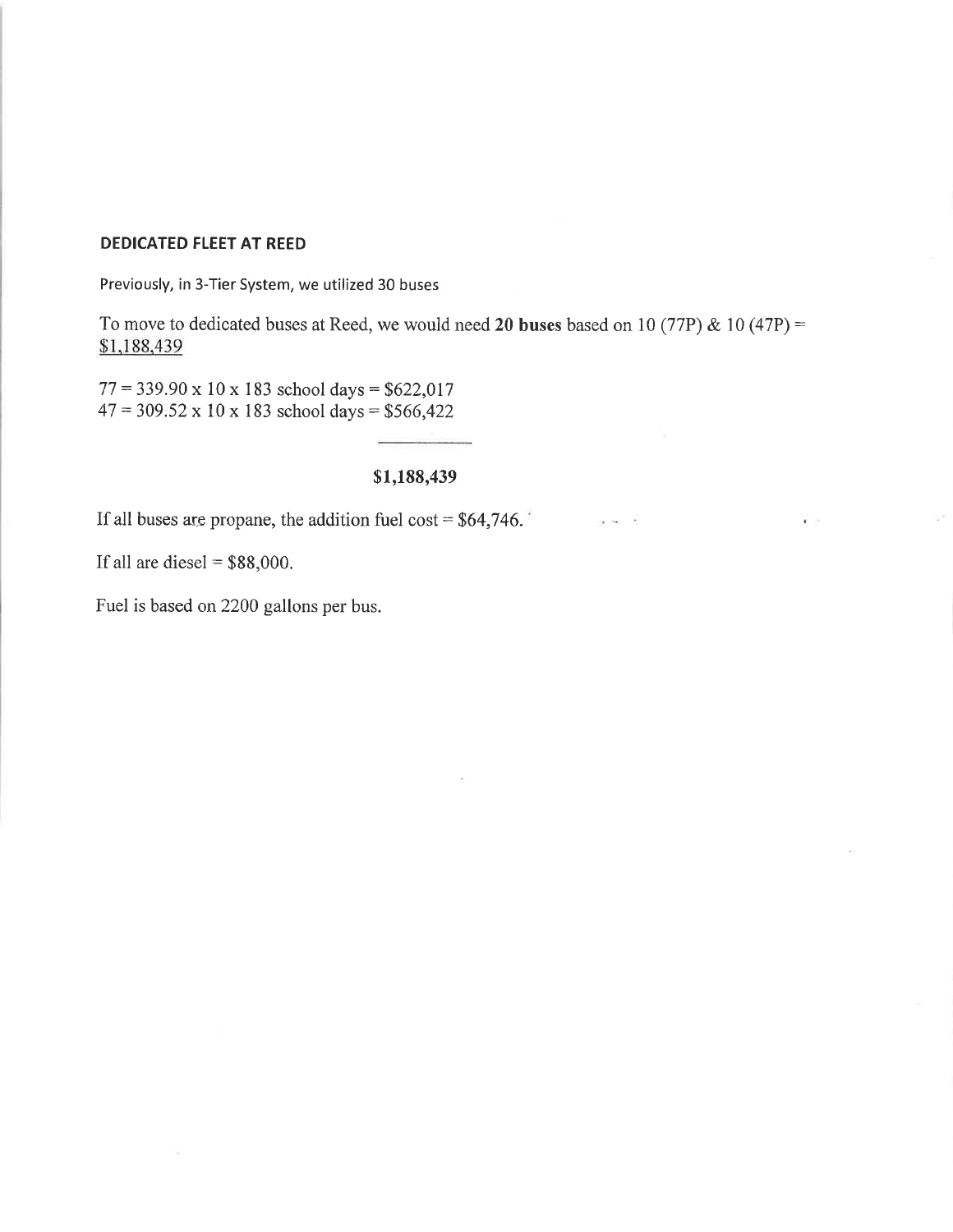## **DEDICATED FLEET AT REED**

Previously, in 3-Tier System, we utilized 30 buses

To move to dedicated buses at Reed, we would need 20 buses based on 10 (77P) & 10 (47P) = \$1,188,439

 $1 - 240 = 6$ 

 $\mathbf{r}$ 

 $77 = 339.90 \times 10 \times 183$  school days = \$622,017  $47 = 309.52 \times 10 \times 183$  school days = \$566,422

# \$1,188,439

If all buses are propane, the addition fuel cost =  $$64,746.$ 

If all are diesel =  $$88,000$ .

Fuel is based on 2200 gallons per bus.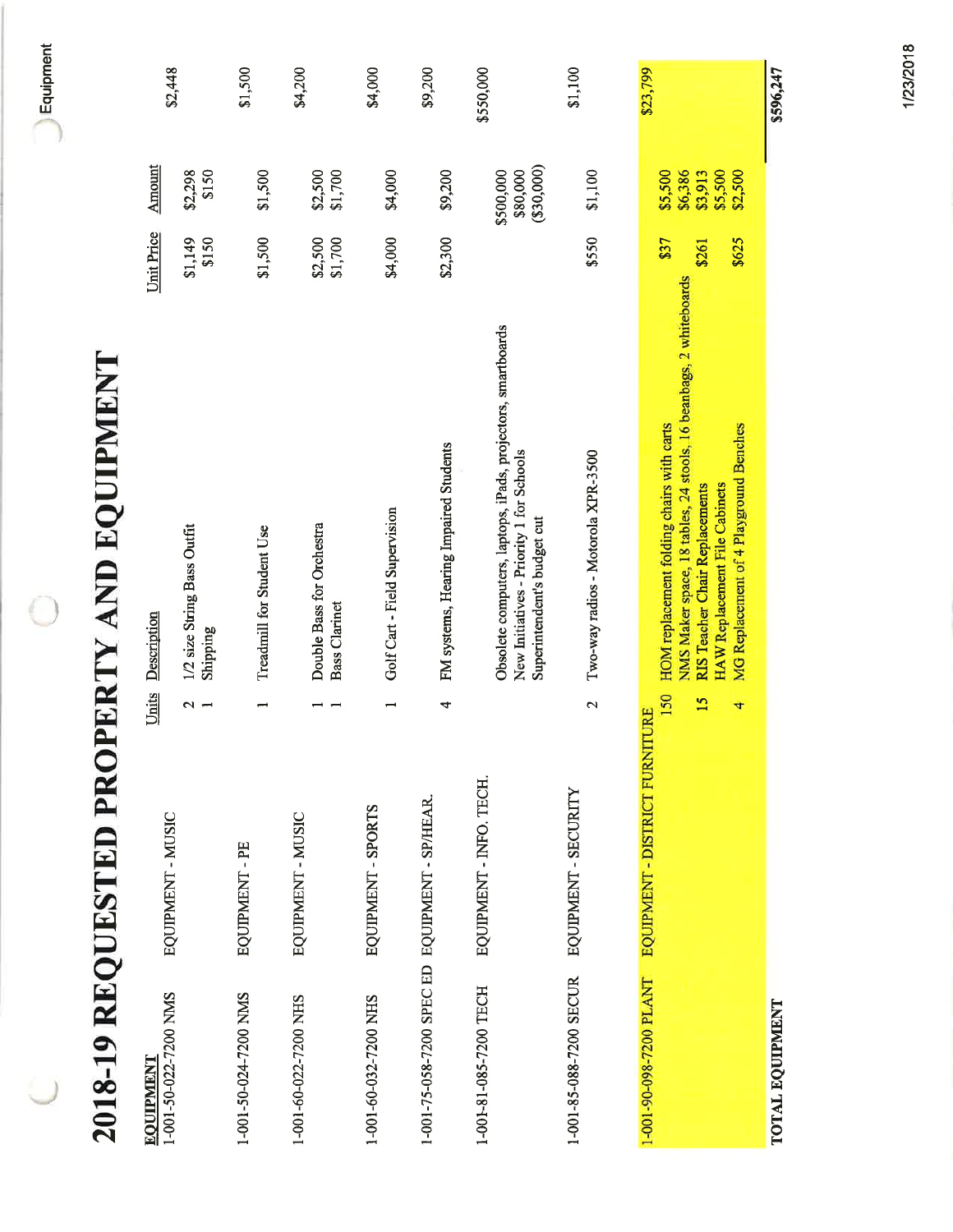|                                                |                                                | 2018-19 REQUESTED PROPERTY AND EQUIPMENT                                                                                                                                                                                                              |                        |                                                     |           |
|------------------------------------------------|------------------------------------------------|-------------------------------------------------------------------------------------------------------------------------------------------------------------------------------------------------------------------------------------------------------|------------------------|-----------------------------------------------------|-----------|
| 1-001-50-022-7200 NMS<br><b>EQUIPMENT</b>      | Units<br>EQUIPMENT - MUSIC                     | Description                                                                                                                                                                                                                                           | Unit Price             | <b>Amount</b>                                       |           |
|                                                | $\sim$ $-$                                     | 1/2 size String Bass Outfit<br>Shipping                                                                                                                                                                                                               | \$150<br>\$1,149       | \$150<br>\$2,298                                    | \$2,448   |
| 1-001-50-024-7200 NMS                          | EQUIPMENT-PE                                   | Treadmill for Student Use                                                                                                                                                                                                                             | \$1,500                | \$1,500                                             | \$1,500   |
| 1-001-60-022-7200 NHS                          | EQUIPMENT - MUSIC                              | Double Bass for Orchestra<br><b>Bass Clarinet</b>                                                                                                                                                                                                     | \$2,500<br>\$1,700     | $$2,500$<br>$$1,700$                                | \$4,200   |
| 1-001-60-032-7200 NHS                          | $\overline{\phantom{0}}$<br>EQUIPMENT - SPORTS | Golf Cart - Field Supervision                                                                                                                                                                                                                         | \$4,000                | \$4,000                                             | \$4,000   |
| 1-001-75-058-7200 SPEC ED EQUIPMENT - SP/HEAR. | 4                                              | FM systems, Hearing Impaired Students                                                                                                                                                                                                                 | \$2,300                | \$9,200                                             | \$9,200   |
| 1-001-81-085-7200 TECH                         | EQUIPMENT - INFO. TECH.                        | Obsolete computers, laptops, iPads, projectors, smartboards<br>New Initiatives - Priority 1 for Schools<br>Superintendent's budget cut                                                                                                                |                        | (330,000)<br>\$500,000<br>\$80,000                  | \$550,000 |
| 1-001-85-088-7200 SECUR                        | EQUIPMENT - SECURITY                           | Two-way radios - Motorola XPR-3500<br>$\mathbf{\Omega}$                                                                                                                                                                                               | \$550                  | \$1,100                                             | \$1,100   |
| 1-001-90-098-7200 PLANT                        | 4<br>EQUIPMENT - DISTRICT FURNITURE            | NMS Maker space, 18 tables, 24 stools, 16 beanbags, 2 whiteboards<br>HOM replacement folding chairs with carts<br>MG Replacement of 4 Playground Benches<br>HAW Replacement File Cabinets<br>RIS Teacher Chair Replacements<br>150<br>$\overline{15}$ | \$37<br>\$625<br>\$261 | \$2,500<br>\$5,500<br>\$6,386<br>\$5,500<br>\$3,913 | \$23,799  |
| TOTAL EQUIPMENT                                |                                                |                                                                                                                                                                                                                                                       |                        |                                                     | \$596,247 |

1/23/2018

 $\bigcup$  Equipment

C

 $\bigcup$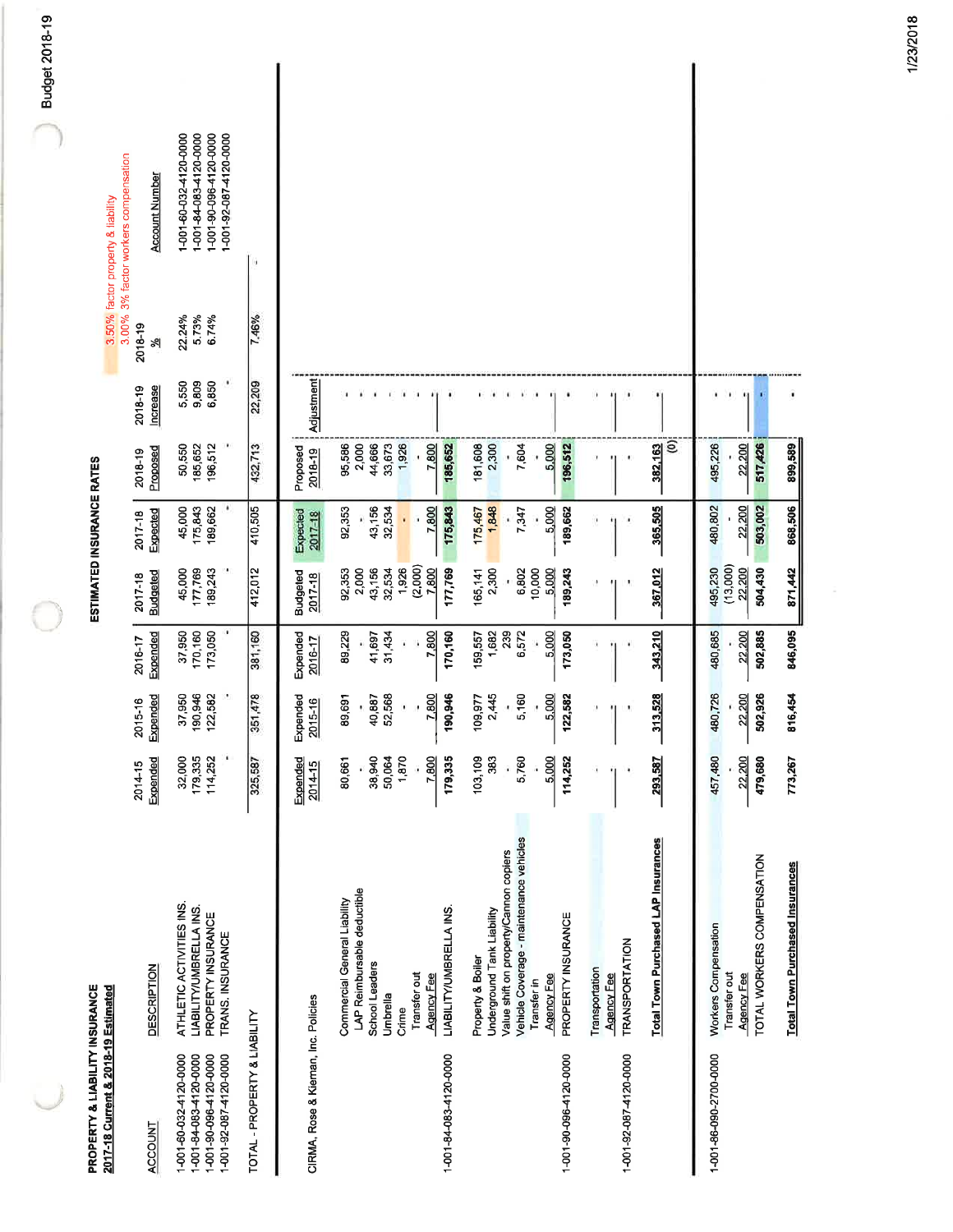| PROPERTY & LIABILITY INSURANCE                                                                       |                                                                                                                                                                                                |                                                         |                                                |                                                      |                                                                             | ESTIMATED INSURANCE RATES                      |                                                                  |                              |                                   |                                                                                                      |  |
|------------------------------------------------------------------------------------------------------|------------------------------------------------------------------------------------------------------------------------------------------------------------------------------------------------|---------------------------------------------------------|------------------------------------------------|------------------------------------------------------|-----------------------------------------------------------------------------|------------------------------------------------|------------------------------------------------------------------|------------------------------|-----------------------------------|------------------------------------------------------------------------------------------------------|--|
| 2017-18 Current & 2018-19 Estimated                                                                  |                                                                                                                                                                                                |                                                         |                                                |                                                      |                                                                             |                                                |                                                                  |                              | 3.50% factor property & liability | 3.00% 3% factor workers compensation                                                                 |  |
| ACCOUNT                                                                                              | <b>DESCRIPTION</b>                                                                                                                                                                             | Expended<br>2014-15                                     | Expended<br>2015-16                            | Expended<br>2016-17                                  | <b>Budgeted</b><br>2017-18                                                  | Expected<br>2017-18                            | Proposed<br>2018-19                                              | <b>Increase</b><br>2018-19   | 2018-19<br>খ                      | <b>Account Number</b>                                                                                |  |
| 1-001-60-032-4120-0000<br>1-001-84-083-4120-0000<br>1-001-90-096-4120-0000<br>1-001-92-087-4120-0000 | ATHLETIC ACTIVITIES INS.<br>LIABILITY/UMBRELLA INS.<br>PROPERTY INSURANCE<br>TRANS. INSURANCE                                                                                                  | ٠<br>32,000<br>179,335<br>114,252                       | 190,946<br>122,582<br>37,950                   | 37,950<br>170,160<br>173,050                         | 177,769<br>189,243<br>45,000                                                | 189,662<br>45,000<br>175,843                   | 196,512<br>50,550<br>185,652                                     | ٠<br>9,809<br>6,850<br>5,550 | 22.24%<br>5.73%<br>6.74%          | 1-001-60-032-4120-0000<br>1-001-84-083-4120-0000<br>1-001-90-096-4120-0000<br>1-001-92-087-4120-0000 |  |
| TOTAL - PROPERTY & LIABILITY                                                                         |                                                                                                                                                                                                | 325,587                                                 | 351,478                                        | 381,160                                              | 412,012                                                                     | 410,505                                        | 432,713                                                          | 22,209                       | 7.46%                             |                                                                                                      |  |
| CIRMA, Rose & Kieman, Inc. Policies                                                                  |                                                                                                                                                                                                | Expended<br>2014-15                                     | Expended<br>2015-16                            | Expended<br>2016-17                                  | <b>Budgeted</b><br>2017-18                                                  | Expected<br>2017-18                            | Proposed<br>2018-19                                              | Adjustment                   |                                   |                                                                                                      |  |
| 1-001-84-083-4120-0000                                                                               | LAP Reimbursable deductible<br>Commercial General Liability<br>LIABILITY/UMBRELLA INS.<br>School Leaders<br>Transfer out<br><b>Agency Fee</b><br>Umbrella<br>Crime                             | 179,335<br>38,940<br>50,064<br>1,870<br>7,800<br>80,661 | 7,800<br>190,946<br>52,568<br>40,887<br>89,691 | 89,229<br>31,434<br>7,800<br>170,160<br>41,697       | (2,000)<br>1,926<br>43,156<br>32,534<br>92,353<br>2,000<br>7,800<br>177,769 | 32,534<br>43,156<br>7,800<br>175,843<br>92,353 | 95,586<br>2,000<br>44,666<br>33,673<br>1,926<br>7,800<br>185,652 | $\bullet$<br>٠               |                                   |                                                                                                      |  |
| 1-001-90-096-4120-0000                                                                               | Vehicle Coverage - maintenance vehicles<br>Value shift on property/Cannon copiers<br>Underground Tank Liability<br>PROPERTY INSURANCE<br>Property & Boiler<br><b>Agency Fee</b><br>Transfer in | 103,109<br>383<br>5,000<br>5,760<br>114,252             | 5.000<br>2,445<br>5,160<br>122,582<br>109,977  | 6,572<br>5,000<br>1,682<br>239<br>159,557<br>173,050 | 10,000<br>5,000<br>2,300<br>6,802<br>189,243<br>165,141                     | 1,848<br>5,000<br>189,662<br>175,467<br>7,347  | 181,608<br>2,300<br>7,604<br>5,000<br>196,512                    |                              |                                   |                                                                                                      |  |
| 1-001-92-087-4120-0000                                                                               | Total Town Purchased LAP Insurances<br>TRANSPORTATION<br>Transportation<br>Agency Fee                                                                                                          | 293,587                                                 | 313,528                                        | 343,210                                              | 367,012                                                                     | 365,505                                        | ê<br>382,163                                                     |                              |                                   |                                                                                                      |  |
| 1-001-86-090-2700-0000                                                                               | TOTAL WORKERS COMPENSATION<br><b>Total Town Purchased Insurances</b><br>Workers Compensation<br>Transfer out<br><b>Agency Fee</b>                                                              | 773,267<br>,480<br>22,200<br>479,680<br>457             | 480,726<br>502,926<br>816,454<br>22,200        | 846,095<br>480,685<br>502,885<br>22,200              | (13,000)<br>504,430<br>871,442<br>495,230<br>22,200                         | 868,506<br>480,802<br>22,200<br>503,002        | 899,589<br>22,200<br>517,426<br>495,226                          |                              |                                   |                                                                                                      |  |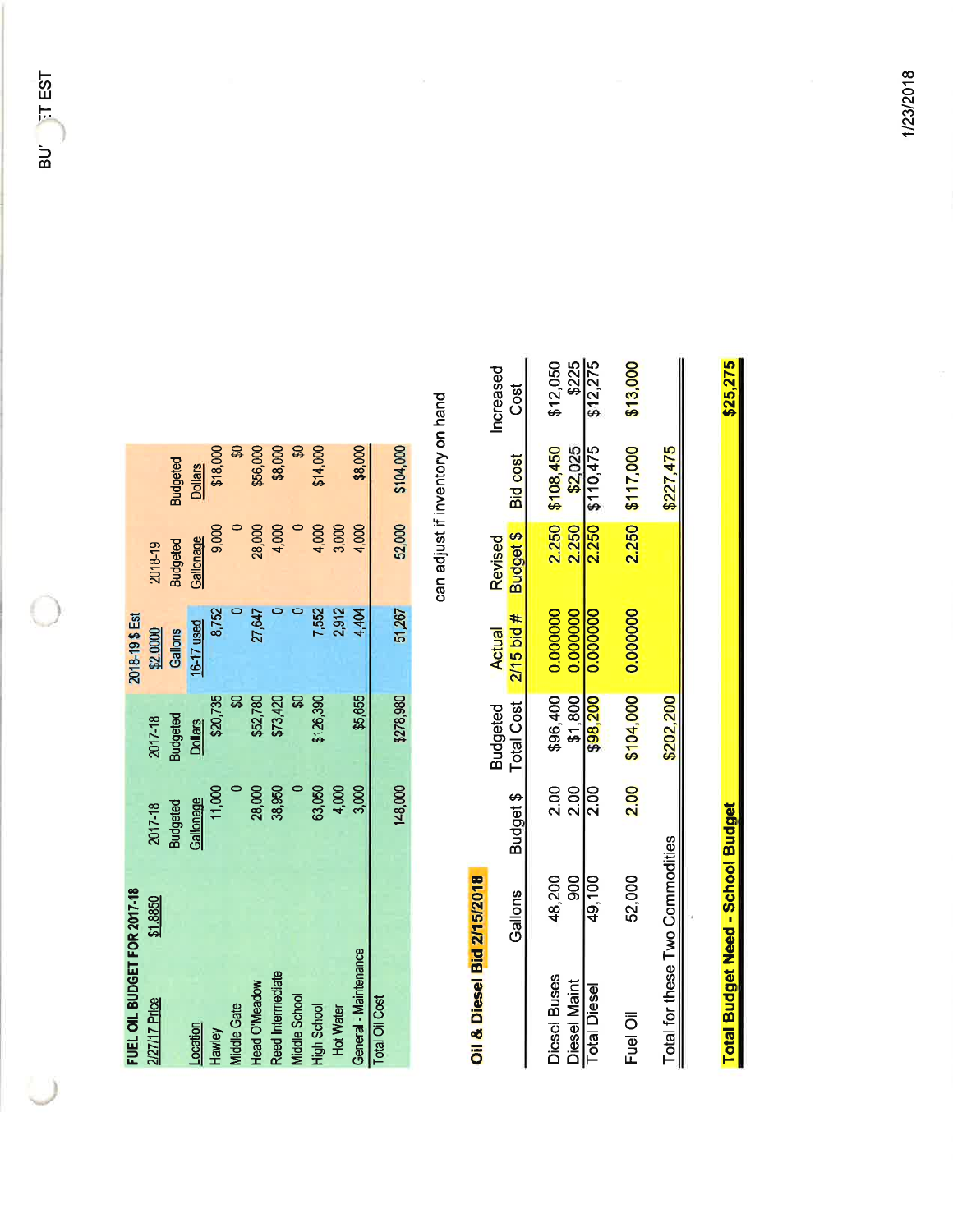1/23/2018

| FUEL OIL BUDGET FOR 2017-18 |                 |                 | 2018-19\$ Est |                 |                 |
|-----------------------------|-----------------|-----------------|---------------|-----------------|-----------------|
| \$1,8850<br>2/27/17 Price   | 2017-18         | 2017-18         | \$2,0000      | 2018-19         |                 |
|                             | <b>Budgeted</b> | <b>Budgeted</b> | Gallons       | <b>Budgeted</b> | <b>Budgeted</b> |
| .ocation                    | Gallonage       | <b>Dollars</b>  | 16-17 used    | Gallonage       | <b>Dollars</b>  |
| Hawley                      | 11,000          | \$20,735        | 8752          | 9,000           | \$18,000        |
| <b>Middle Gate</b>          |                 |                 |               |                 |                 |
| <b>Head O'Meadow</b>        | 28,000          | \$52,780        | 27,647        | 28,000          | \$56,000        |
| Reed Intermediate           | 38,950          | \$73,420        |               | 4,000           | \$8,000         |
| <b>Middle School</b>        |                 |                 |               |                 |                 |
| <b>High School</b>          | 63,050          | \$126,390       | 7,552         | 4,000           | \$14,000        |
| <b>Hot Water</b>            | 4,000           |                 | 2,912         | 3,000           |                 |
| General - Maintenance       | 3,000           | \$5,655         | 4.404         | 4,000           | \$8,000         |
| Total Oil Cost              |                 |                 |               |                 |                 |
|                             | 148,000         | \$278,980       | 51,267        | 52,000          | \$104,000       |

can adjust if inventory on hand

# Oil & Diesel Bid 2/15/2018

|          | \$227,475       |         |                   | \$202,200                                          |                | Total for these Two Commodities |                     |
|----------|-----------------|---------|-------------------|----------------------------------------------------|----------------|---------------------------------|---------------------|
| \$13,000 | 2.250 \$117,000 |         | 0.000000          | \$104,000                                          | 2.00           | 52,000                          | Fuel Oil            |
| \$12,275 | 2.250 \$110,475 |         | \$98,200 0.000000 |                                                    | 2.00           | 49,100                          | <b>Total Diesel</b> |
| \$225    | 2.250 \$2,025   |         | 0.000000          | \$1,800                                            | $\frac{8}{20}$ | 900                             | Diesel Maint        |
| \$12,050 | 2.250 \$108,450 |         | 0.000000          | \$96,400                                           | 2.00           | 48,200                          | Diesel Buses        |
| Cost     |                 |         |                   | Budget \$ Total Cost 2/15 bid # Budget \$ Bid cost |                | Gallons                         |                     |
| hcreased |                 | Revised | Actual            | <b>Budgeted</b>                                    |                |                                 |                     |

**Total Budget Need - School Budget** 

\$25,275

BUT TT EST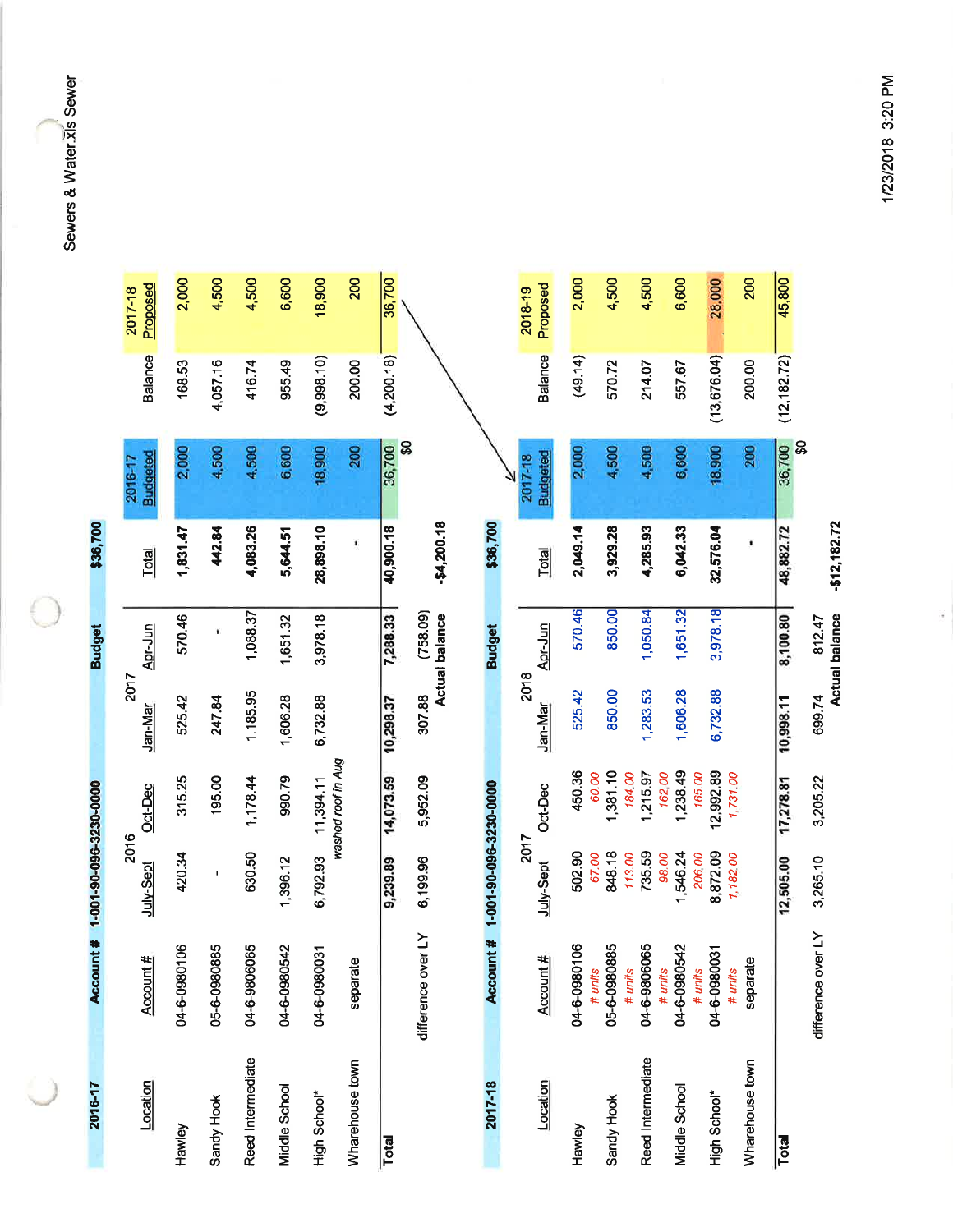Sewers & Water.xls Sewer

€

| 2016-17           | Account                 | # 1-001-90-096-3230-0000 |                       |                 | <b>Budget</b>                     | \$36,700       |                                     |              |                     |
|-------------------|-------------------------|--------------------------|-----------------------|-----------------|-----------------------------------|----------------|-------------------------------------|--------------|---------------------|
| Location          | Account #               | 2016<br>July-Sept        | Oct-Dec               | 2017<br>Jan-Mar | Apr-Jun                           | <b>Total</b>   | <b>Budgeted</b><br>2016-17          | Balance      | Proposed<br>2017-18 |
| Hawley            | 04-6-0980106            | 420.34                   | 315.25                | 525.42          | 570.46                            | 1,831.47       | 2,000                               | 168.53       | 2,000               |
| Sandy Hook        | ഗ്മ<br>05-6-098088      |                          | 195.00                | 247.84          | ¥                                 | 442.84         | 4,500                               | 4,057.16     | 4,500               |
| Reed Intermediate | 04-6-9806065            | 630.50                   | 1,178.44              | 1,185.95        | 1,088.37                          | 4,083.26       | 4,500                               | 416.74       | 4,500               |
| Middle School     | 04-6-0980542            | 1,396.12                 | 990.79                | 1,606.28        | 1,651.32                          | 5,644.51       | 6,600                               | 955.49       | 6,600               |
| High School*      | π<br>04-6-098003        | 6,792.93                 | 11,394.11             | 6,732.88        | 3,978.18                          | 28,898.10      | 18,900                              | (9,998.10)   | 18,900              |
| Wharehouse town   | separate                |                          | washed roof in Aug    |                 |                                   | $\blacksquare$ | 200                                 | 200.00       | 200                 |
| Total             |                         | 9,239.89                 | 14,073.59             | 10,298.37       | 7,288.33                          | 40,900.18      | $\boldsymbol{\mathsf{S}}$<br>36,700 | (4,200.18)   | 36,700              |
|                   | Σ<br>difference over    | 6,199.96                 | 5,952.09              | 307.88          | (758.09)<br><b>Actual balance</b> | $-54,200.18$   |                                     |              |                     |
| 2017-18           | 雙<br>Account            | 1-001-90-096-3230-0000   |                       |                 | <b>Budget</b>                     | \$36,700       |                                     |              |                     |
|                   |                         | 2017                     |                       | 2018            |                                   |                | 2017-18                             |              | 2018-19             |
| Location          | Account #               | July-Sept                | Oct-Dec               | Jan-Mar         | Apr-Jun                           | <b>Total</b>   | <b>Budgeted</b>                     | Balance      | Proposed            |
| Hawley            | 04-6-0980106<br># units | 502.90<br>67.00          | 450.36<br>60.00       | 525.42          | 570.46                            | 2,049.14       | 2,000                               | (49.14)      | 2,000               |
| Sandy Hook        | 05-6-0980885            | 848.18                   | 1,381.10              | 850.00          | 850.00                            | 3,929.28       | 4,500                               | 570.72       | 4,500               |
| Reed Intermediate | 04-6-9806065<br># units | 735.59<br>113.00         | 18400<br>1,215.97     | 1,283.53        | 1,050.84                          | 4,285.93       | 4,500                               | 214.07       | 4,500               |
| Middle School     | 04-6-0980542<br># units | 1,546.24<br>98.00        | 1,238.49<br>16200     | 1,606.28        | 1,651.32                          | 6,042.33       | 6,600                               | 557.67       | 6,600               |
|                   | # units                 | 20600                    | 165.00                |                 |                                   |                |                                     |              |                     |
| High School*      | 04-6-0980031<br># units | 8,872.09<br>1,182.00     | 12,992.89<br>1,731.00 | 6,732.88        | 3,978.18                          | 32,576.04      | 18,900                              | (13, 676.04) | 28,000              |
| Wharehouse town   | separate                |                          |                       |                 |                                   |                | 200                                 | 200.00       | 200                 |
| Total             |                         | 12,505.00                | 17,278.81             | 10,998.11       | 8,100.80                          | 48,882.72      | <b>S</b><br>36,700                  | (12, 182.72) | 45,800              |
|                   | ≿<br>difference over    | 3,265.10                 | 3,205.22              | 699.74          | <b>Actual balance</b><br>812.47   | $-512,182.72$  |                                     |              |                     |

1/23/2018 3:20 PM

ž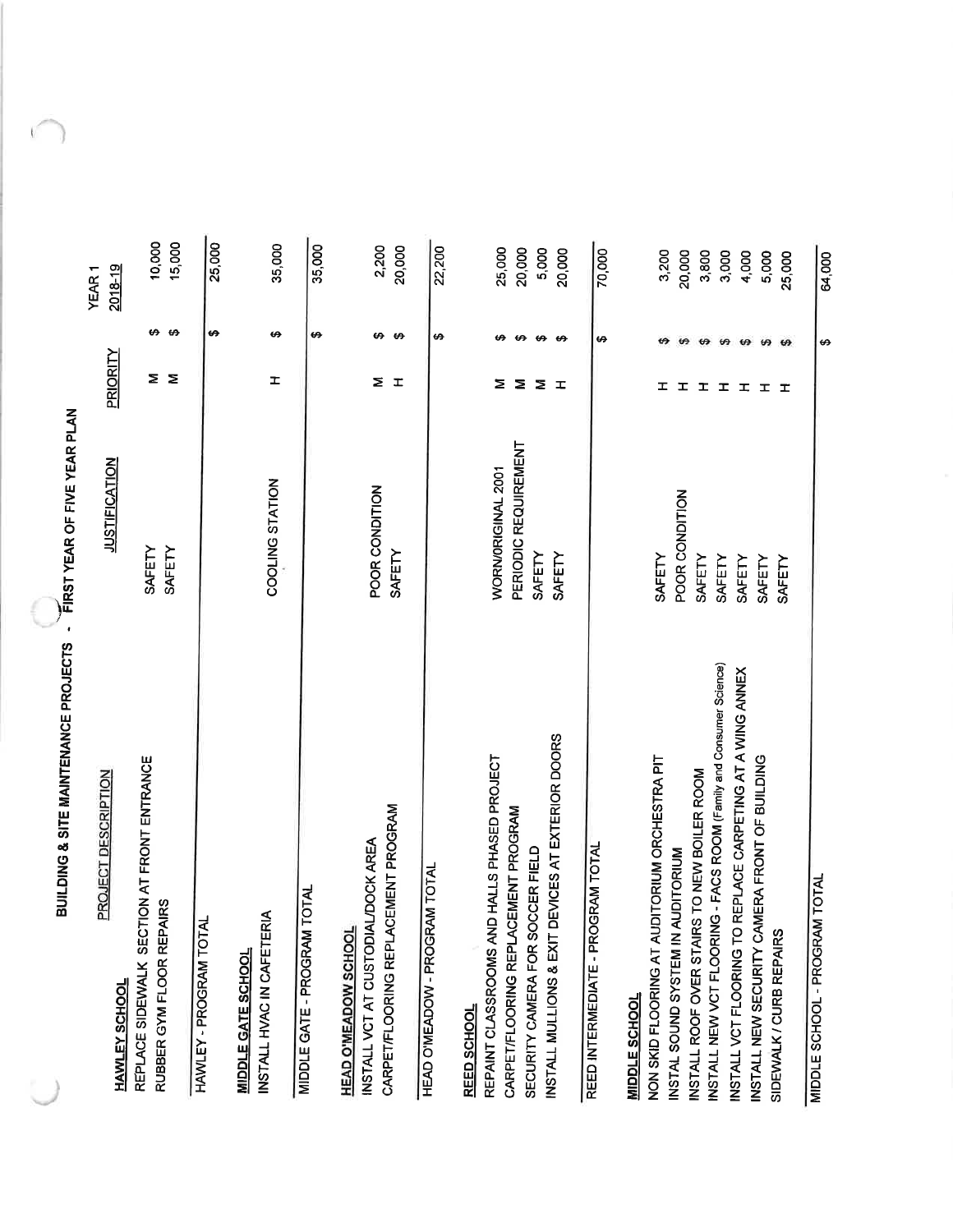BUILDING & SITE MAINTENANCE PROJECTS - FIRST YEAR OF FIVE YEAR PLAN

| PROJECT DESCRIPTION<br><b>HAWLEY SCHOOL</b>                                                              | <b>JUSTIFICATION</b>     | Priority                    | $2018 - 19$<br>YEAR <sub>1</sub>               |  |
|----------------------------------------------------------------------------------------------------------|--------------------------|-----------------------------|------------------------------------------------|--|
| REPLACE SIDEWALK SECTION AT FRONT ENTRANCE<br>RUBBER GYM FLOOR REPAIRS                                   | SAFETY<br>SAFETY         | Σ<br>$\geq$                 | 15,000<br>10,000<br>↮<br>$\boldsymbol{\omega}$ |  |
| HAWLEY - PROGRAM TOTAL                                                                                   |                          |                             | 25,000<br>↮                                    |  |
| INSTALL HVAC IN CAFETERIA<br><b>MIDDLE GATE SCHOOL</b>                                                   | COOLING STATION          | H                           | 35,000<br>↮                                    |  |
| <b>TOTAL</b><br>MIDDLE GATE - PROGRAM                                                                    |                          |                             | 35,000<br>↮                                    |  |
| CARPET/FLOORING REPLACEMENT PROGRAM<br>INSTALL VCT AT CUSTODIAL/DOCK AREA<br><b>HEAD O'MEADOW SCHOOL</b> | POOR CONDITION<br>SAFETY | Σ<br>$\mathbf{I}$           | 2,200<br>20,000<br>↮<br>ക                      |  |
| <b>HEAD O'MEADOW - PROGRAM TOTAL</b>                                                                     |                          |                             | 22,200<br>↮                                    |  |
| REPAINT CLASSROOMS AND HALLS PHASED PROJECT<br>REED SCHOOL                                               | WORN/ORIGINAL 2001       | Σ                           | 25,000<br>↮                                    |  |
| CARPET/FLOORING REPLACEMENT PROGRAM                                                                      | PERIODIC REQUIREMENT     | ↮<br>Σ                      | 20,000                                         |  |
| INSTALL MULLIONS & EXIT DEVICES AT EXTERIOR DOORS<br>SECURITY CAMERA FOR SOCCER FIELD                    | SAFETY                   | $\boldsymbol{\Theta}$<br>Σ  | 5,000                                          |  |
|                                                                                                          | SAFETY                   | ക<br>$\mathbf{r}$           | 20,000                                         |  |
| REED INTERMEDIATE - PROGRAM TOTAL                                                                        |                          | ↮                           | 70,000                                         |  |
| NON SKID FLOORING AT AUDITORIUM ORCHESTRA PIT<br><b>MIDDLE SCHOOL</b>                                    | SAFETY                   | I                           | 3,200                                          |  |
| INSTAL SOUND SYSTEM IN AUDITORIUM                                                                        | POOR CONDITION           | ₩<br>ェ                      | 20,000                                         |  |
| INSTALL ROOF OVER STAIRS TO NEW BOILER ROOM                                                              | SAFETY                   | $\boldsymbol{\varphi}$<br>ᆂ | 3,800                                          |  |
| INSTALL NEW VCT FLOORING - FACS ROOM (Family and Consumer Science)                                       | SAFETY                   | ₩<br>I                      | 3,000                                          |  |
| REPLACE CARPETING AT A WING ANNEX<br>INSTALL VCT FLOORING TO                                             | SAFETY                   | $\boldsymbol{\varphi}$<br>ᅚ | 4,000                                          |  |
| INSTALL NEW SECURITY CAMERA FRONT OF BUILDING                                                            | SAFETY                   | $\boldsymbol{\varphi}$<br>ᆂ | 5,000                                          |  |
| SIDEWALK / CURB REPAIRS                                                                                  | SAFETY                   | $\boldsymbol{\omega}$<br>工  | 25,000                                         |  |
| MIDDLE SCHOOL - PROGRAM TOTAL                                                                            |                          | ↮                           | 64,000                                         |  |